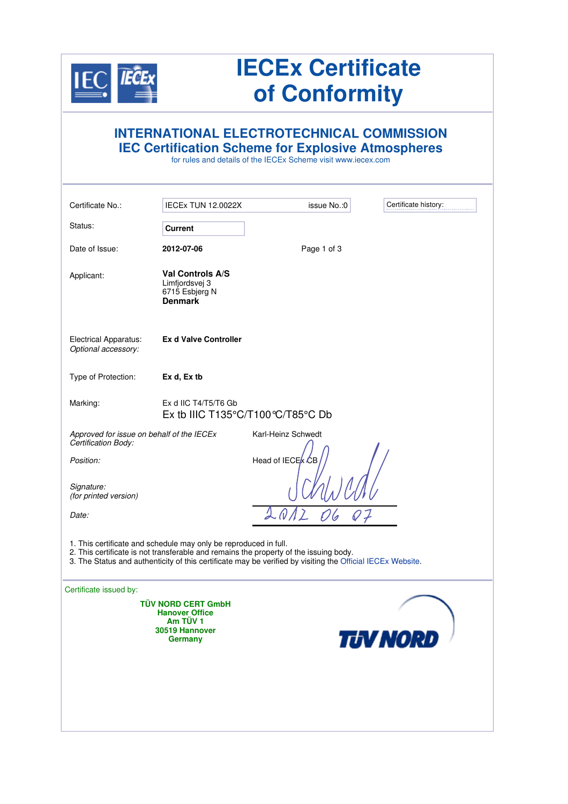

## **IECEx Certificate of Conformity**

|                                                                  |                                                                                             | <b>INTERNATIONAL ELECTROTECHNICAL COMMISSION</b><br><b>IEC Certification Scheme for Explosive Atmospheres</b><br>for rules and details of the IECEx Scheme visit www.iecex.com                      |                      |
|------------------------------------------------------------------|---------------------------------------------------------------------------------------------|-----------------------------------------------------------------------------------------------------------------------------------------------------------------------------------------------------|----------------------|
| Certificate No.:                                                 | <b>IECEx TUN 12.0022X</b>                                                                   | issue No.: 0                                                                                                                                                                                        | Certificate history: |
| Status:                                                          | Current                                                                                     |                                                                                                                                                                                                     |                      |
| Date of Issue:                                                   | 2012-07-06                                                                                  | Page 1 of 3                                                                                                                                                                                         |                      |
| Applicant:                                                       | Val Controls A/S<br>Limfjordsvej 3<br>6715 Esbjerg N<br><b>Denmark</b>                      |                                                                                                                                                                                                     |                      |
| <b>Electrical Apparatus:</b><br>Optional accessory:              | <b>Ex d Valve Controller</b>                                                                |                                                                                                                                                                                                     |                      |
| Type of Protection:                                              | Ex d, Ex tb                                                                                 |                                                                                                                                                                                                     |                      |
| Marking:                                                         | Ex d IIC T4/T5/T6 Gb                                                                        | Ex tb IIIC T135°C/T100°C/T85°C Db                                                                                                                                                                   |                      |
| Approved for issue on behalf of the IECEx<br>Certification Body: |                                                                                             | Karl-Heinz Schwedt                                                                                                                                                                                  |                      |
| Position:                                                        |                                                                                             | Head of IECE k CB                                                                                                                                                                                   |                      |
| Signature:<br>(for printed version)                              |                                                                                             |                                                                                                                                                                                                     |                      |
| Date:                                                            |                                                                                             |                                                                                                                                                                                                     |                      |
|                                                                  | 1. This certificate and schedule may only be reproduced in full.                            | 2. This certificate is not transferable and remains the property of the issuing body.<br>3. The Status and authenticity of this certificate may be verified by visiting the Official IECEx Website. |                      |
| Certificate issued by:                                           |                                                                                             |                                                                                                                                                                                                     |                      |
|                                                                  | <b>TÜV NORD CERT GmbH</b><br><b>Hanover Office</b><br>Am TÜV 1<br>30519 Hannover<br>Germany |                                                                                                                                                                                                     | <b>TUV NORD</b>      |
|                                                                  |                                                                                             |                                                                                                                                                                                                     |                      |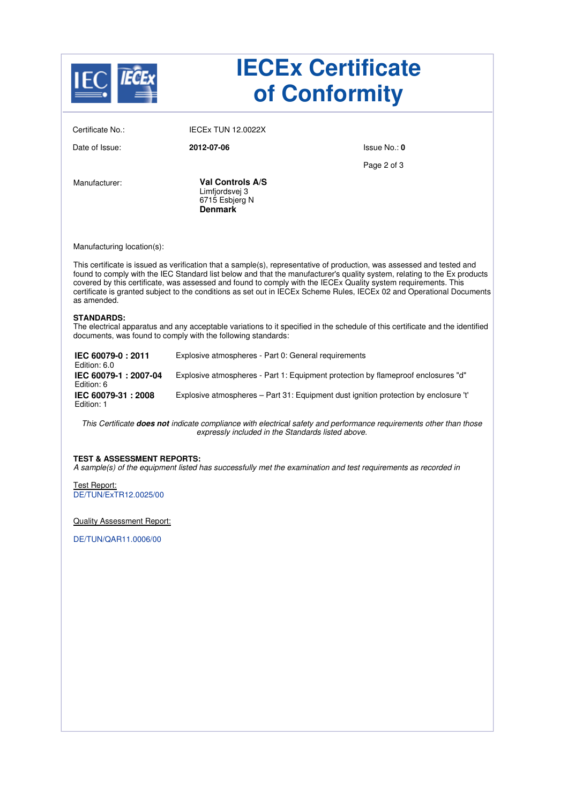| <b>IECEx Certificate</b><br>of Conformity                                                                                                                                                                                                                                                                                                                                                                                                                                                                    |                                                                               |                                                                                      |  |
|--------------------------------------------------------------------------------------------------------------------------------------------------------------------------------------------------------------------------------------------------------------------------------------------------------------------------------------------------------------------------------------------------------------------------------------------------------------------------------------------------------------|-------------------------------------------------------------------------------|--------------------------------------------------------------------------------------|--|
| Certificate No.:                                                                                                                                                                                                                                                                                                                                                                                                                                                                                             | <b>IECEX TUN 12.0022X</b>                                                     |                                                                                      |  |
| Date of Issue:                                                                                                                                                                                                                                                                                                                                                                                                                                                                                               | 2012-07-06                                                                    | Issue No.: 0                                                                         |  |
|                                                                                                                                                                                                                                                                                                                                                                                                                                                                                                              |                                                                               | Page 2 of 3                                                                          |  |
| Manufacturer:                                                                                                                                                                                                                                                                                                                                                                                                                                                                                                | <b>Val Controls A/S</b><br>Limfjordsvej 3<br>6715 Esbjerg N<br><b>Denmark</b> |                                                                                      |  |
| Manufacturing location(s):                                                                                                                                                                                                                                                                                                                                                                                                                                                                                   |                                                                               |                                                                                      |  |
| This certificate is issued as verification that a sample(s), representative of production, was assessed and tested and<br>found to comply with the IEC Standard list below and that the manufacturer's quality system, relating to the Ex products<br>covered by this certificate, was assessed and found to comply with the IECEx Quality system requirements. This<br>certificate is granted subject to the conditions as set out in IECEx Scheme Rules, IECEx 02 and Operational Documents<br>as amended. |                                                                               |                                                                                      |  |
| <b>STANDARDS:</b><br>The electrical apparatus and any acceptable variations to it specified in the schedule of this certificate and the identified<br>documents, was found to comply with the following standards:                                                                                                                                                                                                                                                                                           |                                                                               |                                                                                      |  |
| IEC 60079-0: 2011<br>Edition: 6.0                                                                                                                                                                                                                                                                                                                                                                                                                                                                            | Explosive atmospheres - Part 0: General requirements                          |                                                                                      |  |
| IEC 60079-1: 2007-04<br>Edition: 6                                                                                                                                                                                                                                                                                                                                                                                                                                                                           |                                                                               | Explosive atmospheres - Part 1: Equipment protection by flameproof enclosures "d"    |  |
| IEC 60079-31: 2008<br>Edition: 1                                                                                                                                                                                                                                                                                                                                                                                                                                                                             |                                                                               | Explosive atmospheres – Part 31: Equipment dust ignition protection by enclosure 't' |  |
| This Certificate does not indicate compliance with electrical safety and performance requirements other than those<br>expressly included in the Standards listed above.                                                                                                                                                                                                                                                                                                                                      |                                                                               |                                                                                      |  |
| <b>TEST &amp; ASSESSMENT REPORTS:</b><br>A sample(s) of the equipment listed has successfully met the examination and test requirements as recorded in                                                                                                                                                                                                                                                                                                                                                       |                                                                               |                                                                                      |  |
| Test Report:<br>DE/TUN/ExTR12.0025/00                                                                                                                                                                                                                                                                                                                                                                                                                                                                        |                                                                               |                                                                                      |  |
| <b>Quality Assessment Report:</b>                                                                                                                                                                                                                                                                                                                                                                                                                                                                            |                                                                               |                                                                                      |  |
| DE/TUN/QAR11.0006/00                                                                                                                                                                                                                                                                                                                                                                                                                                                                                         |                                                                               |                                                                                      |  |